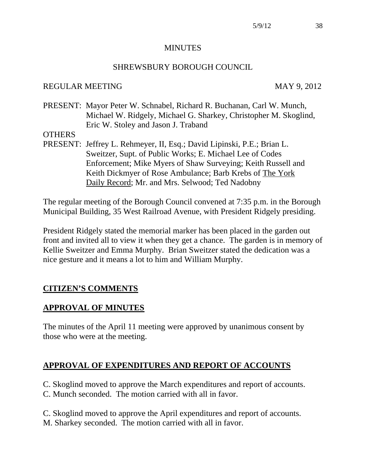#### **MINUTES**

## SHREWSBURY BOROUGH COUNCIL

## REGULAR MEETING MAY 9, 2012

PRESENT: Mayor Peter W. Schnabel, Richard R. Buchanan, Carl W. Munch, Michael W. Ridgely, Michael G. Sharkey, Christopher M. Skoglind, Eric W. Stoley and Jason J. Traband

### **OTHERS**

PRESENT: Jeffrey L. Rehmeyer, II, Esq.; David Lipinski, P.E.; Brian L. Sweitzer, Supt. of Public Works; E. Michael Lee of Codes Enforcement; Mike Myers of Shaw Surveying; Keith Russell and Keith Dickmyer of Rose Ambulance; Barb Krebs of The York Daily Record; Mr. and Mrs. Selwood; Ted Nadobny

The regular meeting of the Borough Council convened at 7:35 p.m. in the Borough Municipal Building, 35 West Railroad Avenue, with President Ridgely presiding.

President Ridgely stated the memorial marker has been placed in the garden out front and invited all to view it when they get a chance. The garden is in memory of Kellie Sweitzer and Emma Murphy. Brian Sweitzer stated the dedication was a nice gesture and it means a lot to him and William Murphy.

# **CITIZEN'S COMMENTS**

## **APPROVAL OF MINUTES**

The minutes of the April 11 meeting were approved by unanimous consent by those who were at the meeting.

# **APPROVAL OF EXPENDITURES AND REPORT OF ACCOUNTS**

C. Skoglind moved to approve the March expenditures and report of accounts.

C. Munch seconded. The motion carried with all in favor.

C. Skoglind moved to approve the April expenditures and report of accounts. M. Sharkey seconded. The motion carried with all in favor.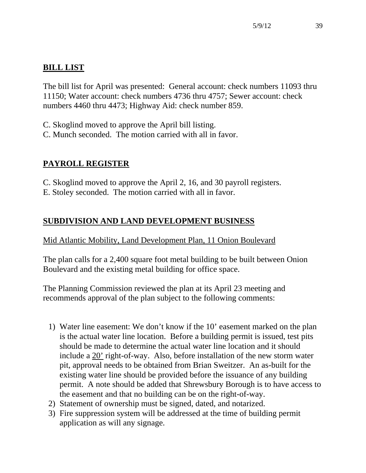# **BILL LIST**

The bill list for April was presented: General account: check numbers 11093 thru 11150; Water account: check numbers 4736 thru 4757; Sewer account: check numbers 4460 thru 4473; Highway Aid: check number 859.

C. Skoglind moved to approve the April bill listing.

C. Munch seconded. The motion carried with all in favor.

# **PAYROLL REGISTER**

C. Skoglind moved to approve the April 2, 16, and 30 payroll registers.

E. Stoley seconded. The motion carried with all in favor.

# **SUBDIVISION AND LAND DEVELOPMENT BUSINESS**

# Mid Atlantic Mobility, Land Development Plan, 11 Onion Boulevard

The plan calls for a 2,400 square foot metal building to be built between Onion Boulevard and the existing metal building for office space.

The Planning Commission reviewed the plan at its April 23 meeting and recommends approval of the plan subject to the following comments:

- 1) Water line easement: We don't know if the 10' easement marked on the plan is the actual water line location. Before a building permit is issued, test pits should be made to determine the actual water line location and it should include a 20' right-of-way. Also, before installation of the new storm water pit, approval needs to be obtained from Brian Sweitzer. An as-built for the existing water line should be provided before the issuance of any building permit. A note should be added that Shrewsbury Borough is to have access to the easement and that no building can be on the right-of-way.
- 2) Statement of ownership must be signed, dated, and notarized.
- 3) Fire suppression system will be addressed at the time of building permit application as will any signage.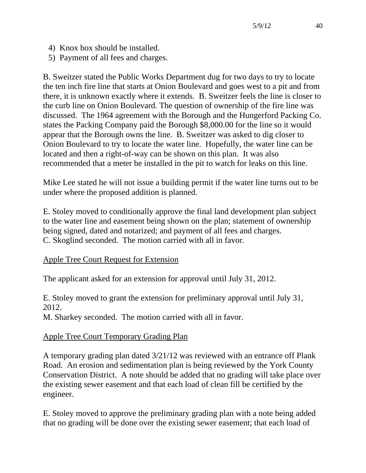- 4) Knox box should be installed.
- 5) Payment of all fees and charges.

B. Sweitzer stated the Public Works Department dug for two days to try to locate the ten inch fire line that starts at Onion Boulevard and goes west to a pit and from there, it is unknown exactly where it extends. B. Sweitzer feels the line is closer to the curb line on Onion Boulevard. The question of ownership of the fire line was discussed. The 1964 agreement with the Borough and the Hungerford Packing Co. states the Packing Company paid the Borough \$8,000.00 for the line so it would appear that the Borough owns the line. B. Sweitzer was asked to dig closer to Onion Boulevard to try to locate the water line. Hopefully, the water line can be located and then a right-of-way can be shown on this plan. It was also recommended that a meter be installed in the pit to watch for leaks on this line.

Mike Lee stated he will not issue a building permit if the water line turns out to be under where the proposed addition is planned.

E. Stoley moved to conditionally approve the final land development plan subject to the water line and easement being shown on the plan; statement of ownership being signed, dated and notarized; and payment of all fees and charges. C. Skoglind seconded. The motion carried with all in favor.

# Apple Tree Court Request for Extension

The applicant asked for an extension for approval until July 31, 2012.

E. Stoley moved to grant the extension for preliminary approval until July 31, 2012.

M. Sharkey seconded. The motion carried with all in favor.

# Apple Tree Court Temporary Grading Plan

A temporary grading plan dated 3/21/12 was reviewed with an entrance off Plank Road. An erosion and sedimentation plan is being reviewed by the York County Conservation District. A note should be added that no grading will take place over the existing sewer easement and that each load of clean fill be certified by the engineer.

E. Stoley moved to approve the preliminary grading plan with a note being added that no grading will be done over the existing sewer easement; that each load of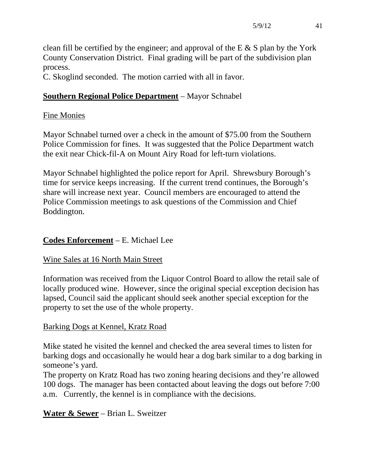clean fill be certified by the engineer; and approval of the E  $\&$  S plan by the York County Conservation District. Final grading will be part of the subdivision plan process.

C. Skoglind seconded. The motion carried with all in favor.

# **Southern Regional Police Department** – Mayor Schnabel

## Fine Monies

Mayor Schnabel turned over a check in the amount of \$75.00 from the Southern Police Commission for fines. It was suggested that the Police Department watch the exit near Chick-fil-A on Mount Airy Road for left-turn violations.

Mayor Schnabel highlighted the police report for April. Shrewsbury Borough's time for service keeps increasing. If the current trend continues, the Borough's share will increase next year. Council members are encouraged to attend the Police Commission meetings to ask questions of the Commission and Chief Boddington.

## **Codes Enforcement** – E. Michael Lee

## Wine Sales at 16 North Main Street

Information was received from the Liquor Control Board to allow the retail sale of locally produced wine. However, since the original special exception decision has lapsed, Council said the applicant should seek another special exception for the property to set the use of the whole property.

# Barking Dogs at Kennel, Kratz Road

Mike stated he visited the kennel and checked the area several times to listen for barking dogs and occasionally he would hear a dog bark similar to a dog barking in someone's yard.

The property on Kratz Road has two zoning hearing decisions and they're allowed 100 dogs. The manager has been contacted about leaving the dogs out before 7:00 a.m. Currently, the kennel is in compliance with the decisions.

# **Water & Sewer** – Brian L. Sweitzer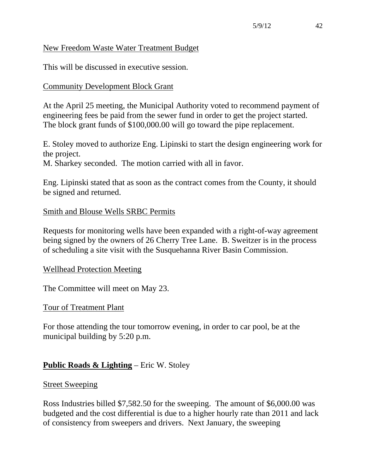### New Freedom Waste Water Treatment Budget

This will be discussed in executive session.

## Community Development Block Grant

At the April 25 meeting, the Municipal Authority voted to recommend payment of engineering fees be paid from the sewer fund in order to get the project started. The block grant funds of \$100,000.00 will go toward the pipe replacement.

E. Stoley moved to authorize Eng. Lipinski to start the design engineering work for the project.

M. Sharkey seconded. The motion carried with all in favor.

Eng. Lipinski stated that as soon as the contract comes from the County, it should be signed and returned.

### Smith and Blouse Wells SRBC Permits

Requests for monitoring wells have been expanded with a right-of-way agreement being signed by the owners of 26 Cherry Tree Lane. B. Sweitzer is in the process of scheduling a site visit with the Susquehanna River Basin Commission.

#### Wellhead Protection Meeting

The Committee will meet on May 23.

#### Tour of Treatment Plant

For those attending the tour tomorrow evening, in order to car pool, be at the municipal building by 5:20 p.m.

## **Public Roads & Lighting** – Eric W. Stoley

#### Street Sweeping

Ross Industries billed \$7,582.50 for the sweeping. The amount of \$6,000.00 was budgeted and the cost differential is due to a higher hourly rate than 2011 and lack of consistency from sweepers and drivers. Next January, the sweeping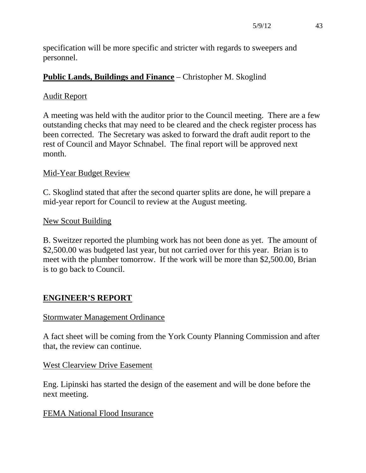specification will be more specific and stricter with regards to sweepers and personnel.

# **Public Lands, Buildings and Finance** – Christopher M. Skoglind

## Audit Report

A meeting was held with the auditor prior to the Council meeting. There are a few outstanding checks that may need to be cleared and the check register process has been corrected. The Secretary was asked to forward the draft audit report to the rest of Council and Mayor Schnabel. The final report will be approved next month.

## Mid-Year Budget Review

C. Skoglind stated that after the second quarter splits are done, he will prepare a mid-year report for Council to review at the August meeting.

## New Scout Building

B. Sweitzer reported the plumbing work has not been done as yet. The amount of \$2,500.00 was budgeted last year, but not carried over for this year. Brian is to meet with the plumber tomorrow. If the work will be more than \$2,500.00, Brian is to go back to Council.

# **ENGINEER'S REPORT**

## Stormwater Management Ordinance

A fact sheet will be coming from the York County Planning Commission and after that, the review can continue.

## West Clearview Drive Easement

Eng. Lipinski has started the design of the easement and will be done before the next meeting.

## FEMA National Flood Insurance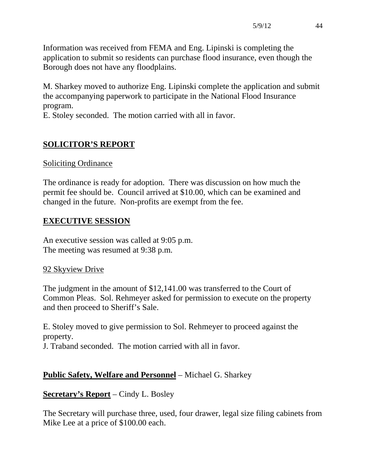Information was received from FEMA and Eng. Lipinski is completing the application to submit so residents can purchase flood insurance, even though the Borough does not have any floodplains.

M. Sharkey moved to authorize Eng. Lipinski complete the application and submit the accompanying paperwork to participate in the National Flood Insurance program.

E. Stoley seconded. The motion carried with all in favor.

# **SOLICITOR'S REPORT**

## Soliciting Ordinance

The ordinance is ready for adoption. There was discussion on how much the permit fee should be. Council arrived at \$10.00, which can be examined and changed in the future. Non-profits are exempt from the fee.

# **EXECUTIVE SESSION**

An executive session was called at 9:05 p.m. The meeting was resumed at 9:38 p.m.

## 92 Skyview Drive

The judgment in the amount of \$12,141.00 was transferred to the Court of Common Pleas. Sol. Rehmeyer asked for permission to execute on the property and then proceed to Sheriff's Sale.

E. Stoley moved to give permission to Sol. Rehmeyer to proceed against the property.

J. Traband seconded. The motion carried with all in favor.

# **Public Safety, Welfare and Personnel** – Michael G. Sharkey

# **Secretary's Report** – Cindy L. Bosley

The Secretary will purchase three, used, four drawer, legal size filing cabinets from Mike Lee at a price of \$100.00 each.